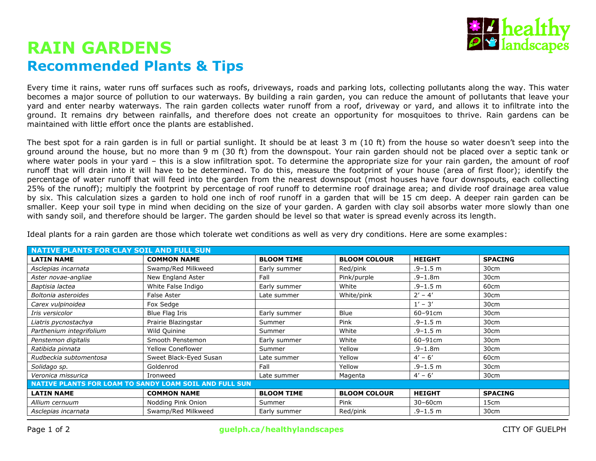

# **RAIN GARDENS Recommended Plants & Tips**

Every time it rains, water runs off surfaces such as roofs, driveways, roads and parking lots, collecting pollutants along the way. This water becomes a major source of pollution to our waterways. By building a rain garden, you can reduce the amount of pollutants that leave your yard and enter nearby waterways. The rain garden collects water runoff from a roof, driveway or yard, and allows it to infiltrate into the ground. It remains dry between rainfalls, and therefore does not create an opportunity for mosquitoes to thrive. Rain gardens can be maintained with little effort once the plants are established.

The best spot for a rain garden is in full or partial sunlight. It should be at least 3 m (10 ft) from the house so water doesn't seep into the ground around the house, but no more than 9 m (30 ft) from the downspout. Your rain garden should not be placed over a septic tank or where water pools in your yard – this is a slow infiltration spot. To determine the appropriate size for your rain garden, the amount of roof runoff that will drain into it will have to be determined. To do this, measure the footprint of your house (area of first floor); identify the percentage of water runoff that will feed into the garden from the nearest downspout (most houses have four downspouts, each collecting 25% of the runoff); multiply the footprint by percentage of roof runoff to determine roof drainage area; and divide roof drainage area value by six. This calculation sizes a garden to hold one inch of roof runoff in a garden that will be 15 cm deep. A deeper rain garden can be smaller. Keep your soil type in mind when deciding on the size of your garden. A garden with clay soil absorbs water more slowly than one with sandy soil, and therefore should be larger. The garden should be level so that water is spread evenly across its length.

| <b>NATIVE PLANTS FOR CLAY SOIL AND FULL SUN</b>        |                          |                   |                     |               |                |  |  |  |
|--------------------------------------------------------|--------------------------|-------------------|---------------------|---------------|----------------|--|--|--|
| <b>LATIN NAME</b>                                      | <b>COMMON NAME</b>       | <b>BLOOM TIME</b> | <b>BLOOM COLOUR</b> | <b>HEIGHT</b> | <b>SPACING</b> |  |  |  |
| Asclepias incarnata                                    | Swamp/Red Milkweed       | Early summer      | Red/pink            | $.9 - 1.5$ m  | 30cm           |  |  |  |
| Aster novae-angliae                                    | New England Aster        | Fall              | Pink/purple         | $.9 - 1.8$ m  | 30cm           |  |  |  |
| Baptisia lactea                                        | White False Indigo       | Early summer      | White               | $.9 - 1.5$ m  | 60cm           |  |  |  |
| Boltonia asteroides                                    | <b>False Aster</b>       | Late summer       | White/pink          | $2' - 4'$     | 30cm           |  |  |  |
| Carex vulpinoidea                                      | Fox Sedge                |                   |                     | $1' - 3'$     | 30cm           |  |  |  |
| Iris versicolor                                        | Blue Flag Iris           | Early summer      | <b>Blue</b>         | 60-91cm       | 30cm           |  |  |  |
| Liatris pycnostachya                                   | Prairie Blazingstar      | Summer            | Pink                | $.9 - 1.5$ m  | 30cm           |  |  |  |
| Parthenium integrifolium                               | Wild Quinine             | Summer            | White               | $.9 - 1.5$ m  | 30cm           |  |  |  |
| Penstemon digitalis                                    | Smooth Penstemon         | Early summer      | White               | 60-91cm       | 30cm           |  |  |  |
| Ratibida pinnata                                       | <b>Yellow Coneflower</b> | Summer            | Yellow              | $.9 - 1.8$ m  | 30cm           |  |  |  |
| Rudbeckia subtomentosa                                 | Sweet Black-Eyed Susan   | Late summer       | Yellow              | $4' - 6'$     | 60cm           |  |  |  |
| Solidago sp.                                           | Goldenrod                | Fall              | Yellow              | $.9 - 1.5$ m  | 30cm           |  |  |  |
| Veronica missurica                                     | Ironweed                 | Late summer       | Magenta             | $4' - 6'$     | 30cm           |  |  |  |
| NATIVE PLANTS FOR LOAM TO SANDY LOAM SOIL AND FULL SUN |                          |                   |                     |               |                |  |  |  |
| <b>LATIN NAME</b>                                      | <b>COMMON NAME</b>       | <b>BLOOM TIME</b> | <b>BLOOM COLOUR</b> | <b>HEIGHT</b> | <b>SPACING</b> |  |  |  |
| Allium cernuum                                         | Nodding Pink Onion       | Summer            | Pink                | $30-60$ cm    | 15cm           |  |  |  |
| Asclepias incarnata                                    | Swamp/Red Milkweed       | Early summer      | Red/pink            | $.9 - 1.5$ m  | 30cm           |  |  |  |

Ideal plants for a rain garden are those which tolerate wet conditions as well as very dry conditions. Here are some examples: